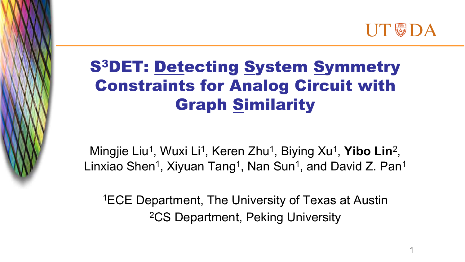

# S3DET: Detecting System Symmetry Constraints for Analog Circuit with Graph Similarity

The picture can't be displayed.

Mingjie Liu<sup>1</sup>, Wuxi Li<sup>1</sup>, Keren Zhu<sup>1</sup>, Biying Xu<sup>1</sup>, Yibo Lin<sup>2</sup>, Linxiao Shen<sup>1</sup>, Xiyuan Tang<sup>1</sup>, Nan Sun<sup>1</sup>, and David Z. Pan<sup>1</sup>

1ECE Department, The University of Texas at Austin 2CS Department, Peking University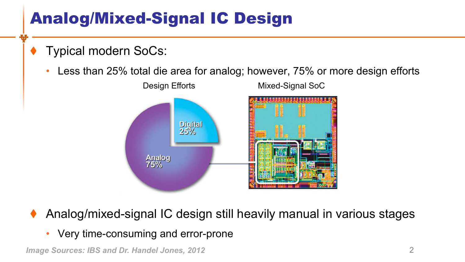# Analog/Mixed-Signal IC Design

- Typical modern SoCs:
	- Less than 25% total die area for analog; however, 75% or more design efforts



- Analog/mixed-signal IC design still heavily manual in various stages
	- Very time-consuming and error-prone

*Image Sources: IBS and Dr. Handel Jones, 2012* 2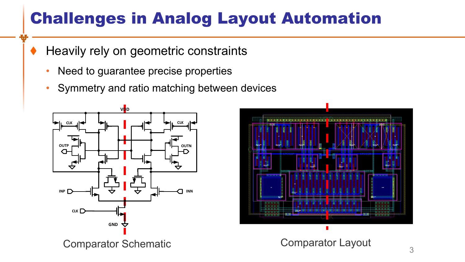## Challenges in Analog Layout Automation

- Heavily rely on geometric constraints
	- Need to guarantee precise properties
	- Symmetry and ratio matching between devices



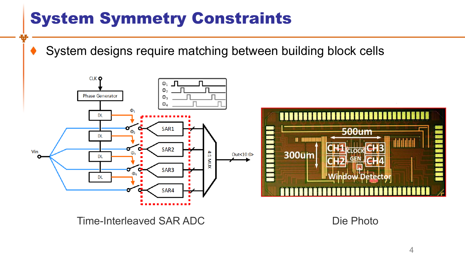System designs require matching between building block cells



Time-Interleaved SAR ADC Die Photo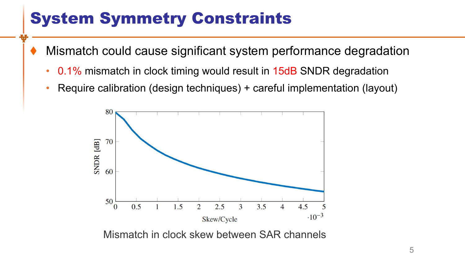- Mismatch could cause significant system performance degradation
	- 0.1% mismatch in clock timing would result in 15dB SNDR degradation
	- Require calibration (design techniques) + careful implementation (layout)



Mismatch in clock skew between SAR channels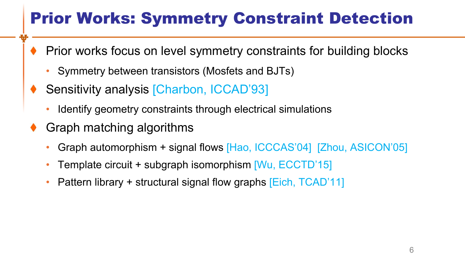# Prior Works: Symmetry Constraint Detection

- Prior works focus on level symmetry constraints for building blocks
	- Symmetry between transistors (Mosfets and BJTs)
- Sensitivity analysis [Charbon, ICCAD'93]
	- Identify geometry constraints through electrical simulations
- Graph matching algorithms
	- Graph automorphism + signal flows [Hao, ICCCAS'04] [Zhou, ASICON'05]
	- Template circuit + subgraph isomorphism [Wu, ECCTD'15]
	- Pattern library + structural signal flow graphs [Eich, TCAD'11]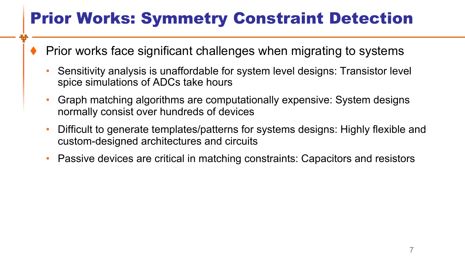# Prior Works: Symmetry Constraint Detection

- Prior works face significant challenges when migrating to systems
	- Sensitivity analysis is unaffordable for system level designs: Transistor level spice simulations of ADCs take hours
	- Graph matching algorithms are computationally expensive: System designs normally consist over hundreds of devices
	- Difficult to generate templates/patterns for systems designs: Highly flexible and custom-designed architectures and circuits
	- Passive devices are critical in matching constraints: Capacitors and resistors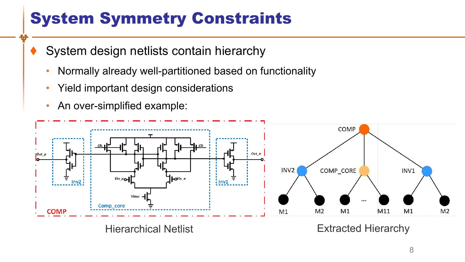- System design netlists contain hierarchy
	- Normally already well-partitioned based on functionality
	- Yield important design considerations
	- An over-simplified example:



Hierarchical Netlist Extracted Hierarchy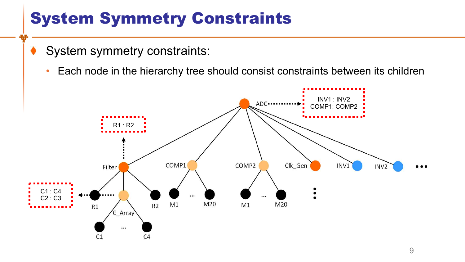- System symmetry constraints:
	- Each node in the hierarchy tree should consist constraints between its children

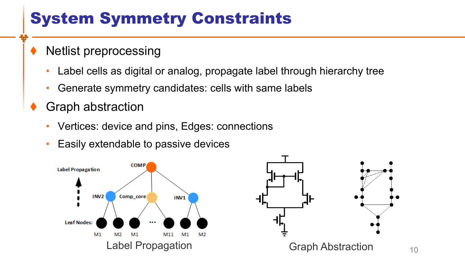- Netlist preprocessing
	- Label cells as digital or analog, propagate label through hierarchy tree
	- Generate symmetry candidates: cells with same labels
- Graph abstraction
	- Vertices: device and pins, Edges: connections
	- Easily extendable to passive devices



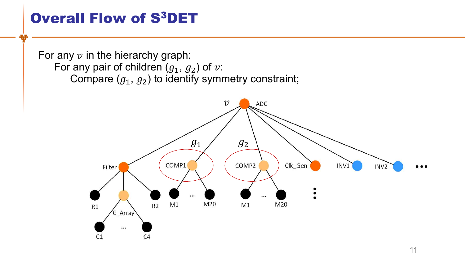#### Overall Flow of S3DET

For any  $v$  in the hierarchy graph: For any pair of children  $(g_1, g_2)$  of  $v$ : Compare  $(g_1, g_2)$  to identify symmetry constraint;

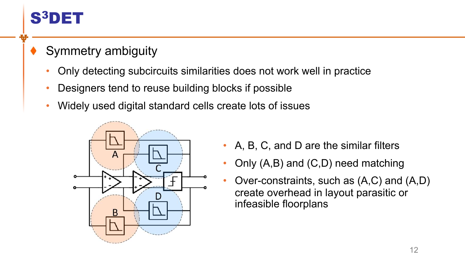

#### Symmetry ambiguity

- Only detecting subcircuits similarities does not work well in practice
- Designers tend to reuse building blocks if possible
- Widely used digital standard cells create lots of issues



- A, B, C, and D are the similar filters
- Only (A,B) and (C,D) need matching
- Over-constraints, such as (A,C) and (A,D) create overhead in layout parasitic or infeasible floorplans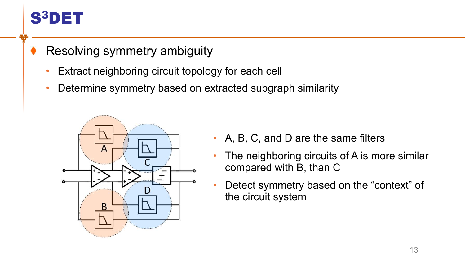### S3DET

#### Resolving symmetry ambiguity

- Extract neighboring circuit topology for each cell
- Determine symmetry based on extracted subgraph similarity



- A, B, C, and D are the same filters
- The neighboring circuits of A is more similar compared with B, than C
- Detect symmetry based on the "context" of the circuit system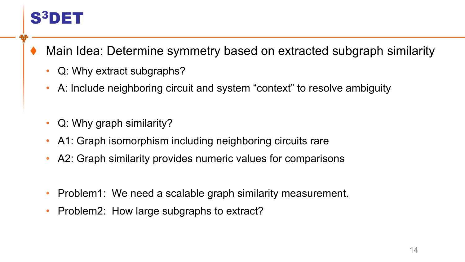## S3DET

Main Idea: Determine symmetry based on extracted subgraph similarity

- Q: Why extract subgraphs?
- A: Include neighboring circuit and system "context" to resolve ambiguity
- Q: Why graph similarity?
- A1: Graph isomorphism including neighboring circuits rare
- A2: Graph similarity provides numeric values for comparisons
- Problem1: We need a scalable graph similarity measurement.
- Problem2: How large subgraphs to extract?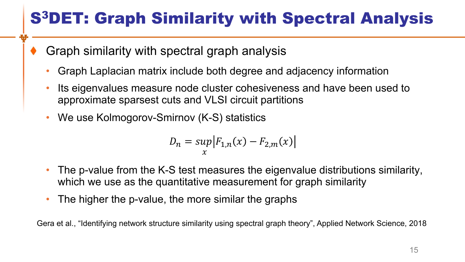# S3DET: Graph Similarity with Spectral Analysis

- Graph similarity with spectral graph analysis
	- Graph Laplacian matrix include both degree and adjacency information
	- Its eigenvalues measure node cluster cohesiveness and have been used to approximate sparsest cuts and VLSI circuit partitions
	- We use Kolmogorov-Smirnov (K-S) statistics

$$
D_n = \sup_{x} |F_{1,n}(x) - F_{2,m}(x)|
$$

- The p-value from the K-S test measures the eigenvalue distributions similarity, which we use as the quantitative measurement for graph similarity
- The higher the p-value, the more similar the graphs

Gera et al., "Identifying network structure similarity using spectral graph theory", Applied Network Science, 2018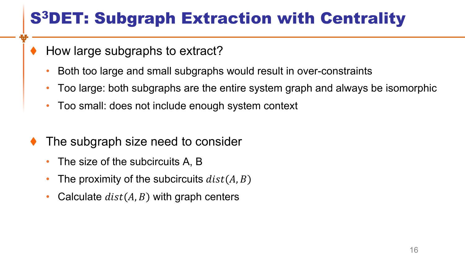# S3DET: Subgraph Extraction with Centrality

- How large subgraphs to extract?
	- Both too large and small subgraphs would result in over-constraints
	- Too large: both subgraphs are the entire system graph and always be isomorphic
	- Too small: does not include enough system context
- The subgraph size need to consider
	- The size of the subcircuits A, B
	- The proximity of the subcircuits  $dist(A, B)$
	- Calculate  $dist(A, B)$  with graph centers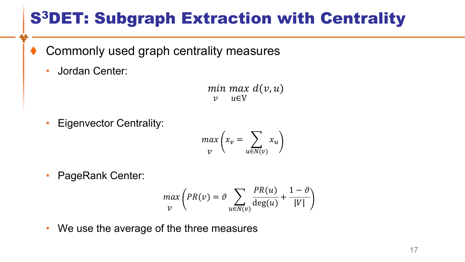# S3DET: Subgraph Extraction with Centrality

- Commonly used graph centrality measures
	- Jordan Center:

 $min$   $max$   $d(v, u)$  $\nu$   $\nu \in V$ 

• Eigenvector Centrality:

$$
\max_{v} \left( x_v = \sum_{u \in N(v)} x_u \right)
$$

• PageRank Center:

$$
\max_{v} \left( PR(v) = \vartheta \sum_{u \in N(v)} \frac{PR(u)}{\deg(u)} + \frac{1 - \vartheta}{|V|} \right)
$$

• We use the average of the three measures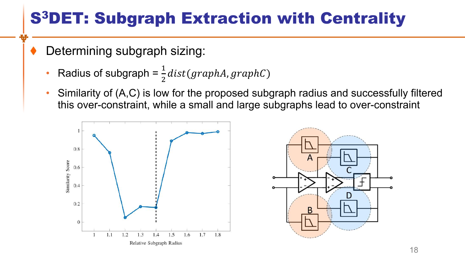# S3DET: Subgraph Extraction with Centrality

- Determining subgraph sizing:
	- Radius of subgraph =  $\frac{1}{2}$  $\overline{2}$  $dist(graphA, graphC)$
	- Similarity of (A,C) is low for the proposed subgraph radius and successfully filtered this over-constraint, while a small and large subgraphs lead to over-constraint



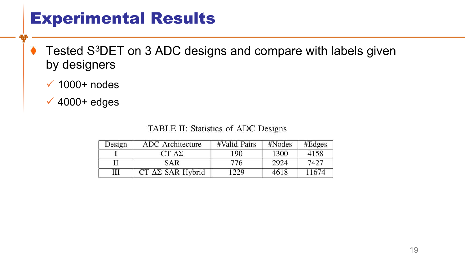### Experimental Results

- Tested S<sup>3</sup>DET on 3 ADC designs and compare with labels given ٠ by designers
	- $\checkmark$  1000+ nodes
	- $\sqrt{4000+$  edges

TABLE II: Statistics of ADC Designs

| Design | ADC Architecture             | #Valid Pairs | #Nodes | #Edges |
|--------|------------------------------|--------------|--------|--------|
|        | $CT \Delta\Sigma$            | 190          | 1300   | 4158   |
|        | <b>SAR</b>                   | 776          | 2924   | 7427   |
| Ш      | $CT \Delta\Sigma$ SAR Hybrid | 1229         | 4618   | 11674  |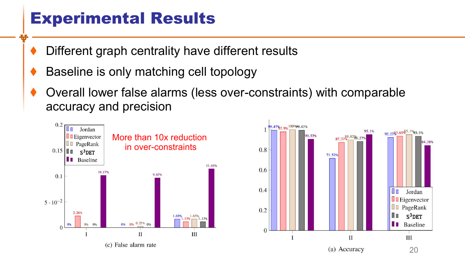### Experimental Results

- Different graph centrality have different results
- Baseline is only matching cell topology
- Overall lower false alarms (less over-constraints) with comparable accuracy and precision



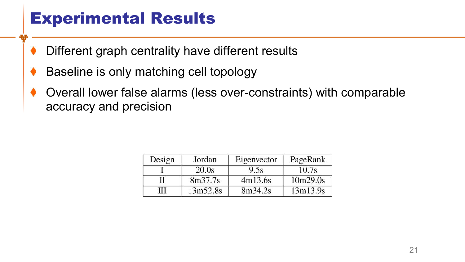### Experimental Results

- Different graph centrality have different results
- Baseline is only matching cell topology
- Overall lower false alarms (less over-constraints) with comparable accuracy and precision

| Design | Jordan   | Eigenvector | PageRank |
|--------|----------|-------------|----------|
|        | 20.0s    | 9.5s        | 10.7s    |
|        | 8m37.7s  | 4m13.6s     | 10m29.0s |
| Ш      | 13m52.8s | 8m34.2s     | 13m13.9s |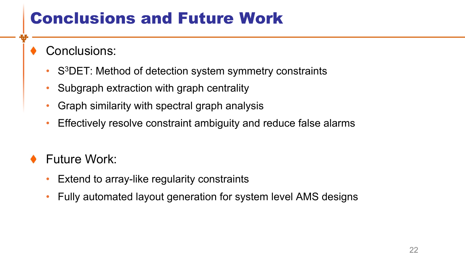### Conclusions and Future Work

- Conclusions:
	- S<sup>3</sup>DET: Method of detection system symmetry constraints
	- Subgraph extraction with graph centrality
	- Graph similarity with spectral graph analysis
	- Effectively resolve constraint ambiguity and reduce false alarms
- Future Work:
	- Extend to array-like regularity constraints
	- Fully automated layout generation for system level AMS designs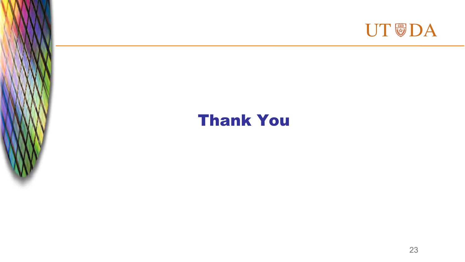

### Thank You

The picture can't be displayed.